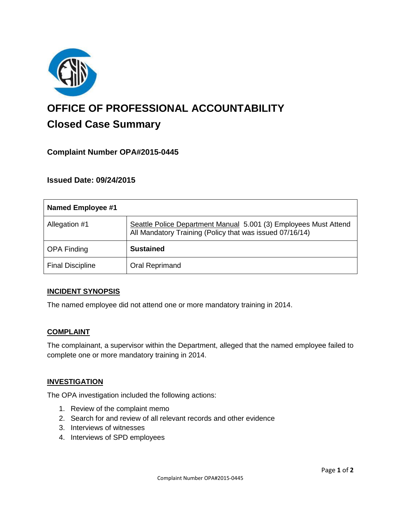

# **OFFICE OF PROFESSIONAL ACCOUNTABILITY Closed Case Summary**

# **Complaint Number OPA#2015-0445**

## **Issued Date: 09/24/2015**

| <b>Named Employee #1</b> |                                                                                                                              |
|--------------------------|------------------------------------------------------------------------------------------------------------------------------|
| Allegation #1            | Seattle Police Department Manual 5.001 (3) Employees Must Attend<br>All Mandatory Training (Policy that was issued 07/16/14) |
| <b>OPA Finding</b>       | <b>Sustained</b>                                                                                                             |
| <b>Final Discipline</b>  | Oral Reprimand                                                                                                               |

#### **INCIDENT SYNOPSIS**

The named employee did not attend one or more mandatory training in 2014.

#### **COMPLAINT**

The complainant, a supervisor within the Department, alleged that the named employee failed to complete one or more mandatory training in 2014.

#### **INVESTIGATION**

The OPA investigation included the following actions:

- 1. Review of the complaint memo
- 2. Search for and review of all relevant records and other evidence
- 3. Interviews of witnesses
- 4. Interviews of SPD employees